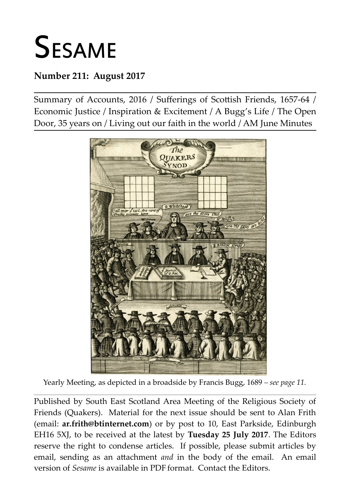# **SESAME**

## **Number 211: August 2017**

Summary of Accounts, 2016 / Sufferings of Scottish Friends, 1657-64 / Economic Justice / Inspiration & Excitement / A Bugg's Life / The Open Door, 35 years on / Living out our faith in the world / AM June Minutes



Yearly Meeting, as depicted in a broadside by Francis Bugg, 1689 *– see page 11.* **\_\_\_\_\_\_\_\_\_\_\_\_\_\_\_\_\_\_\_\_\_\_\_\_\_\_\_\_\_\_\_\_\_\_\_\_\_\_\_\_\_\_\_\_\_\_\_\_\_\_\_\_\_\_\_\_\_\_\_\_\_\_\_\_\_\_\_\_\_\_\_\_\_\_\_\_\_\_\_\_\_\_\_\_\_\_\_\_\_\_\_\_\_\_\_\_\_\_\_\_\_\_\_\_\_\_\_\_\_\_\_\_\_\_\_\_\_\_\_\_\_\_\_\_\_\_\_\_\_\_\_\_\_\_\_\_\_\_\_\_\_\_\_\_\_\_\_\_\_\_\_\_\_\_\_\_\_\_\_\_**

Published by South East Scotland Area Meeting of the Religious Society of Friends (Quakers). Material for the next issue should be sent to Alan Frith (email: **[ar.frith@btinternet.com](mailto:ar.frith@btinternet.com)**) or by post to 10, East Parkside, Edinburgh EH16 5XJ, to be received at the latest by **Tuesday 25 July 2017**. The Editors reserve the right to condense articles. If possible, please submit articles by email, sending as an attachment *and* in the body of the email. An email version of *Sesame* is available in PDF format. Contact the Editors.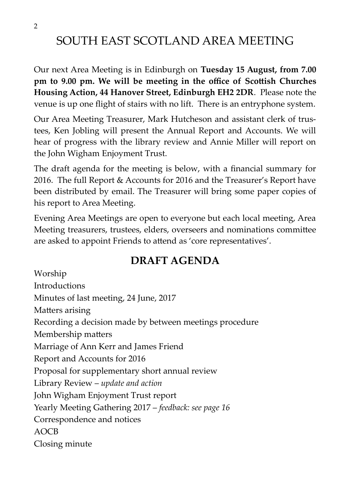# SOUTH EAST SCOTLAND AREA MEETING

Our next Area Meeting is in Edinburgh on **Tuesday 15 August, from 7.00 pm to 9.00 pm. We will be meeting in the office of Scottish Churches Housing Action, 44 Hanover Street, Edinburgh EH2 2DR**. Please note the venue is up one flight of stairs with no lift. There is an entryphone system.

Our Area Meeting Treasurer, Mark Hutcheson and assistant clerk of trustees, Ken Jobling will present the Annual Report and Accounts. We will hear of progress with the library review and Annie Miller will report on the John Wigham Enjoyment Trust.

The draft agenda for the meeting is below, with a financial summary for 2016. The full Report & Accounts for 2016 and the Treasurer's Report have been distributed by email. The Treasurer will bring some paper copies of his report to Area Meeting.

Evening Area Meetings are open to everyone but each local meeting, Area Meeting treasurers, trustees, elders, overseers and nominations committee are asked to appoint Friends to attend as 'core representatives'.

# **DRAFT AGENDA**

Worship Introductions Minutes of last meeting, 24 June, 2017 Matters arising Recording a decision made by between meetings procedure Membership matters Marriage of Ann Kerr and James Friend Report and Accounts for 2016 Proposal for supplementary short annual review Library Review – *update and action* John Wigham Enjoyment Trust report Yearly Meeting Gathering 2017 – *feedback: see page 16*  Correspondence and notices AOCB Closing minute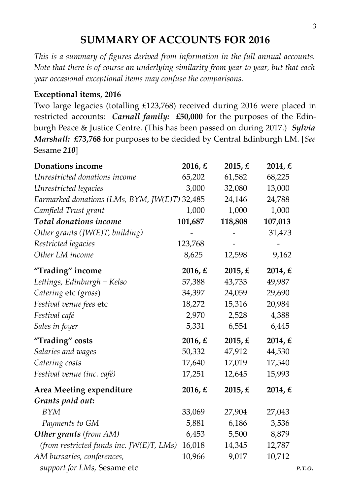## **SUMMARY OF ACCOUNTS FOR 2016**

*This is a summary of figures derived from information in the full annual accounts. Note that there is of course an underlying similarity from year to year, but that each year occasional exceptional items may confuse the comparisons.*

#### **Exceptional items, 2016**

Two large legacies (totalling £123,768) received during 2016 were placed in restricted accounts: *Carnall family:* **£50,000** for the purposes of the Edinburgh Peace & Justice Centre. (This has been passed on during 2017.) *Sylvia Marshall:* **£73,768** for purposes to be decided by Central Edinburgh LM. [*See* Sesame *210*]

| Donations income                              | 2016, E         | 2015, $E$ | 2014, $E$ |        |
|-----------------------------------------------|-----------------|-----------|-----------|--------|
| Unrestricted donations income                 | 65,202          | 61,582    | 68,225    |        |
| Unrestricted legacies                         | 3,000           | 32,080    | 13,000    |        |
| Earmarked donations (LMs, BYM, JW(E)T) 32,485 |                 | 24,146    | 24,788    |        |
| Camfield Trust grant                          | 1,000           | 1,000     | 1,000     |        |
| Total donations income                        | 101,687         | 118,808   | 107,013   |        |
| Other grants $(JW(E)T, building)$             |                 |           | 31,473    |        |
| Restricted legacies                           | 123,768         |           |           |        |
| Other LM income                               | 8,625           | 12,598    | 9,162     |        |
| "Trading" income                              | 2016, $\pounds$ | 2015, $E$ | 2014, $E$ |        |
| Lettings, Edinburgh + Kelso                   | 57,388          | 43,733    | 49,987    |        |
| Catering etc (gross)                          | 34,397          | 24,059    | 29,690    |        |
| Festival venue fees etc                       | 18,272          | 15,316    | 20,984    |        |
| Festival café                                 | 2,970           | 2,528     | 4,388     |        |
| Sales in foyer                                | 5,331           | 6,554     | 6,445     |        |
| "Trading" costs                               | 2016, $E$       | 2015, $E$ | 2014, $E$ |        |
| Salaries and wages                            | 50,332          | 47,912    | 44,530    |        |
| Catering costs                                | 17,640          | 17,019    | 17,540    |        |
| Festival venue (inc. café)                    | 17,251          | 12,645    | 15,993    |        |
| Area Meeting expenditure                      | 2016, $E$       | 2015, $E$ | 2014, $E$ |        |
| Grants paid out:                              |                 |           |           |        |
| <b>BYM</b>                                    | 33,069          | 27,904    | 27,043    |        |
| Payments to GM                                | 5,881           | 6,186     | 3,536     |        |
| <b>Other grants</b> (from AM)                 | 6,453           | 5,500     | 8,879     |        |
| (from restricted funds inc. JW $(E)T$ , LMs)  | 16,018          | 14,345    | 12,787    |        |
| AM bursaries, conferences,                    | 10,966          | 9,017     | 10,712    |        |
| support for LMs, Sesame etc                   |                 |           |           | P.T.O. |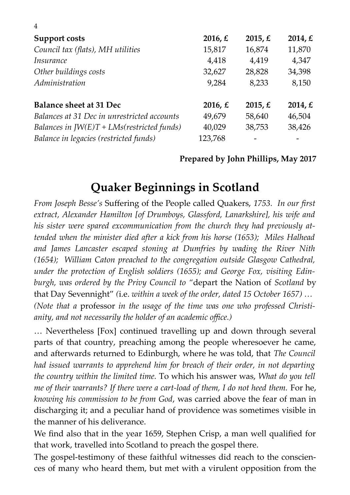| Support costs                                | 2016, $E$       | 2015, $E$ | 2014, $\pounds$ |
|----------------------------------------------|-----------------|-----------|-----------------|
| Council tax (flats), MH utilities            | 15,817          | 16,874    | 11,870          |
| <i>Insurance</i>                             | 4,418           | 4,419     | 4,347           |
| Other buildings costs                        | 32,627          | 28,828    | 34,398          |
| Administration                               | 9,284           | 8,233     | 8,150           |
| <b>Balance sheet at 31 Dec</b>               | 2016, $\pounds$ | 2015, $E$ | 2014, $\pounds$ |
| Balances at 31 Dec in unrestricted accounts  | 49,679          | 58,640    | 46,504          |
| Balances in $JW(E)T + LMs(restricted funds)$ | 40,029          | 38,753    | 38,426          |
| Balance in legacies (restricted funds)       | 123,768         |           |                 |

4

#### **Prepared by John Phillips, May 2017**

# **Quaker Beginnings in Scotland**

*From Joseph Besse's* Suffering of the People called Quakers, *1753. In our first extract, Alexander Hamilton [of Drumboys, Glassford, Lanarkshire], his wife and his sister were spared excommunication from the church they had previously attended when the minister died after a kick from his horse (1653); Miles Halhead and James Lancaster escaped stoning at Dumfries by wading the River Nith (1654); William Caton preached to the congregation outside Glasgow Cathedral, under the protection of English soldiers (1655); and George Fox, visiting Edinburgh, was ordered by the Privy Council to "*depart the Nation of *Scotland* by that Day Sevennight" *(*i.e. *within a week of the order, dated 15 October 1657) … (Note that a* professor *in the usage of the time was one who professed Christianity, and not necessarily the holder of an academic office.)*

… Nevertheless [Fox] continued travelling up and down through several parts of that country, preaching among the people wheresoever he came, and afterwards returned to Edinburgh, where he was told, that *The Council had issued warrants to apprehend him for breach of their order, in not departing the country within the limited time.* To which his answer was, *What do you tell me of their warrants? If there were a cart-load of them, I do not heed them.* For he, *knowing his commission to be from God*, was carried above the fear of man in discharging it; and a peculiar hand of providence was sometimes visible in the manner of his deliverance.

We find also that in the year 1659, Stephen Crisp, a man well qualified for that work, travelled into Scotland to preach the gospel there.

The gospel-testimony of these faithful witnesses did reach to the consciences of many who heard them, but met with a virulent opposition from the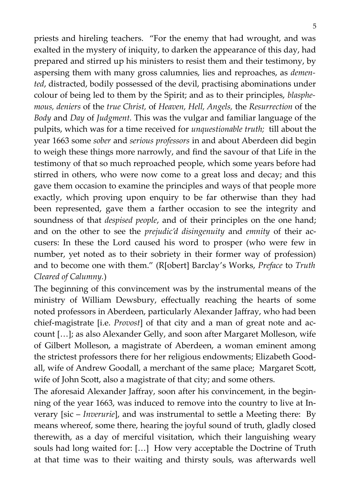priests and hireling teachers. "For the enemy that had wrought, and was exalted in the mystery of iniquity, to darken the appearance of this day, had prepared and stirred up his ministers to resist them and their testimony, by aspersing them with many gross calumnies, lies and reproaches, as *demented*, distracted, bodily possessed of the devil, practising abominations under colour of being led to them by the Spirit; and as to their principles, *blasphemous, deniers* of the *true Christ,* of *Heaven, Hell, Angels,* the *Resurrection* of the *Body* and *Day* of *Judgment.* This was the vulgar and familiar language of the pulpits, which was for a time received for *unquestionable truth;* till about the year 1663 some *sober* and *serious professors* in and about Aberdeen did begin to weigh these things more narrowly, and find the savour of that Life in the testimony of that so much reproached people, which some years before had stirred in others, who were now come to a great loss and decay; and this gave them occasion to examine the principles and ways of that people more exactly, which proving upon enquiry to be far otherwise than they had been represented, gave them a farther occasion to see the integrity and soundness of that *despised people*, and of their principles on the one hand; and on the other to see the *prejudic'd disingenuity* and *emnity* of their accusers: In these the Lord caused his word to prosper (who were few in number, yet noted as to their sobriety in their former way of profession) and to become one with them." (R[obert] Barclay's Works, *Preface* to *Truth Cleared of Calumny.*)

The beginning of this convincement was by the instrumental means of the ministry of William Dewsbury, effectually reaching the hearts of some noted professors in Aberdeen, particularly Alexander Jaffray, who had been chief-magistrate [i.e. *Provost*] of that city and a man of great note and account […]; as also Alexander Gelly, and soon after Margaret Molleson, wife of Gilbert Molleson, a magistrate of Aberdeen, a woman eminent among the strictest professors there for her religious endowments; Elizabeth Goodall, wife of Andrew Goodall, a merchant of the same place; Margaret Scott, wife of John Scott, also a magistrate of that city; and some others.

The aforesaid Alexander Jaffray, soon after his convincement, in the beginning of the year 1663, was induced to remove into the country to live at Inverary [sic – *Inverurie*], and was instrumental to settle a Meeting there: By means whereof, some there, hearing the joyful sound of truth, gladly closed therewith, as a day of merciful visitation, which their languishing weary souls had long waited for: […] How very acceptable the Doctrine of Truth at that time was to their waiting and thirsty souls, was afterwards well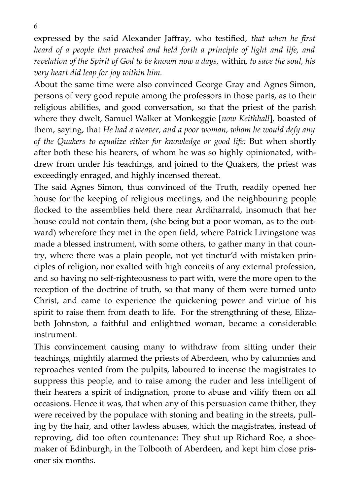expressed by the said Alexander Jaffray, who testified, *that when he first heard of a people that preached and held forth a principle of light and life, and revelation of the Spirit of God to be known now a days,* within*, to save the soul, his very heart did leap for joy within him.*

About the same time were also convinced George Gray and Agnes Simon, persons of very good repute among the professors in those parts, as to their religious abilities, and good conversation, so that the priest of the parish where they dwelt, Samuel Walker at Monkeggie [*now Keithhall*], boasted of them, saying, that *He had a weaver, and a poor woman, whom he would defy any of the Quakers to equalize either for knowledge or good life:* But when shortly after both these his hearers, of whom he was so highly opinionated, withdrew from under his teachings, and joined to the Quakers, the priest was exceedingly enraged, and highly incensed thereat.

The said Agnes Simon, thus convinced of the Truth, readily opened her house for the keeping of religious meetings, and the neighbouring people flocked to the assemblies held there near Ardiharrald, insomuch that her house could not contain them, (she being but a poor woman, as to the outward) wherefore they met in the open field, where Patrick Livingstone was made a blessed instrument, with some others, to gather many in that country, where there was a plain people, not yet tinctur'd with mistaken principles of religion, nor exalted with high conceits of any external profession, and so having no self-righteousness to part with, were the more open to the reception of the doctrine of truth, so that many of them were turned unto Christ, and came to experience the quickening power and virtue of his spirit to raise them from death to life. For the strengthning of these, Elizabeth Johnston, a faithful and enlightned woman, became a considerable instrument.

This convincement causing many to withdraw from sitting under their teachings, mightily alarmed the priests of Aberdeen, who by calumnies and reproaches vented from the pulpits, laboured to incense the magistrates to suppress this people, and to raise among the ruder and less intelligent of their hearers a spirit of indignation, prone to abuse and vilify them on all occasions. Hence it was, that when any of this persuasion came thither, they were received by the populace with stoning and beating in the streets, pulling by the hair, and other lawless abuses, which the magistrates, instead of reproving, did too often countenance: They shut up Richard Roe, a shoemaker of Edinburgh, in the Tolbooth of Aberdeen, and kept him close prisoner six months.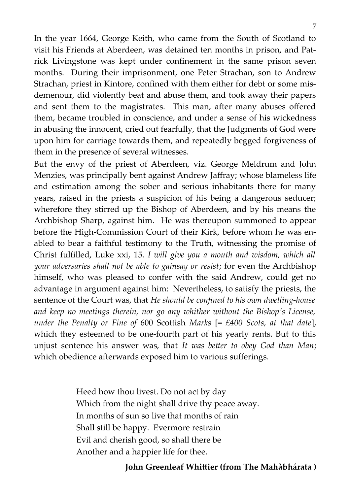In the year 1664, George Keith, who came from the South of Scotland to visit his Friends at Aberdeen, was detained ten months in prison, and Patrick Livingstone was kept under confinement in the same prison seven months. During their imprisonment, one Peter Strachan, son to Andrew Strachan, priest in Kintore, confined with them either for debt or some misdemenour, did violently beat and abuse them, and took away their papers and sent them to the magistrates. This man, after many abuses offered them, became troubled in conscience, and under a sense of his wickedness in abusing the innocent, cried out fearfully, that the Judgments of God were upon him for carriage towards them, and repeatedly begged forgiveness of them in the presence of several witnesses.

But the envy of the priest of Aberdeen, viz. George Meldrum and John Menzies, was principally bent against Andrew Jaffray; whose blameless life and estimation among the sober and serious inhabitants there for many years, raised in the priests a suspicion of his being a dangerous seducer; wherefore they stirred up the Bishop of Aberdeen, and by his means the Archbishop Sharp, against him. He was thereupon summoned to appear before the High-Commission Court of their Kirk, before whom he was enabled to bear a faithful testimony to the Truth, witnessing the promise of Christ fulfilled, Luke xxi, 15. *I will give you a mouth and wisdom, which all your adversaries shall not be able to gainsay or resist*; for even the Archbishop himself, who was pleased to confer with the said Andrew, could get no advantage in argument against him: Nevertheless, to satisfy the priests, the sentence of the Court was, that *He should be confined to his own dwelling-house and keep no meetings therein, nor go any whither without the Bishop's License, under the Penalty or Fine of* 600 Scottish *Marks* [= *£400 Scots, at that date*], which they esteemed to be one-fourth part of his yearly rents. But to this unjust sentence his answer was, that *It was better to obey God than Man*; which obedience afterwards exposed him to various sufferings.

> Heed how thou livest. Do not act by day Which from the night shall drive thy peace away. In months of sun so live that months of rain Shall still be happy. Evermore restrain Evil and cherish good, so shall there be Another and a happier life for thee.

**\_\_\_\_\_\_\_\_\_\_\_\_\_\_\_\_\_\_\_\_\_\_\_\_\_\_\_\_\_\_\_\_\_\_\_\_\_\_\_\_\_\_\_\_\_\_\_\_\_\_\_\_\_\_\_\_\_\_\_\_\_\_\_\_\_\_\_\_\_\_\_\_\_\_\_\_\_\_\_\_\_\_\_\_\_\_\_\_\_\_\_\_\_\_\_\_\_\_\_\_\_\_\_\_\_\_\_\_\_\_\_\_\_\_\_\_\_\_\_\_\_\_\_\_\_\_\_\_\_\_\_\_\_\_\_\_\_\_\_\_\_\_\_\_\_\_\_\_\_\_\_\_\_\_\_\_\_\_\_\_**

**John Greenleaf Whittier (from The Mahàbhárata )**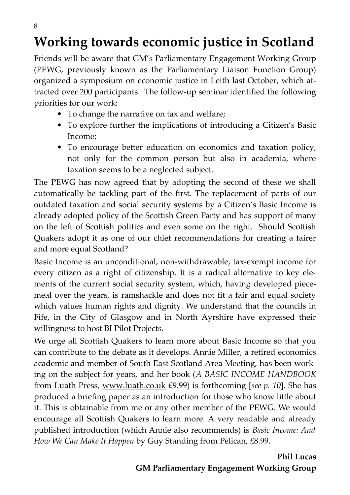# **Working towards economic justice in Scotland**

Friends will be aware that GM's Parliamentary Engagement Working Group (PEWG, previously known as the Parliamentary Liaison Function Group) organized a symposium on economic justice in Leith last October, which attracted over 200 participants. The follow-up seminar identified the following priorities for our work:

- To change the narrative on tax and welfare;
- To explore further the implications of introducing a Citizen's Basic Income;
- To encourage better education on economics and taxation policy, not only for the common person but also in academia, where taxation seems to be a neglected subject.

The PEWG has now agreed that by adopting the second of these we shall automatically be tackling part of the first. The replacement of parts of our outdated taxation and social security systems by a Citizen's Basic Income is already adopted policy of the Scottish Green Party and has support of many on the left of Scottish politics and even some on the right. Should Scottish Quakers adopt it as one of our chief recommendations for creating a fairer and more equal Scotland?

Basic Income is an unconditional, non-withdrawable, tax-exempt income for every citizen as a right of citizenship. It is a radical alternative to key elements of the current social security system, which, having developed piecemeal over the years, is ramshackle and does not fit a fair and equal society which values human rights and dignity. We understand that the councils in Fife, in the City of Glasgow and in North Ayrshire have expressed their willingness to host BI Pilot Projects.

We urge all Scottish Quakers to learn more about Basic Income so that you can contribute to the debate as it develops. Annie Miller, a retired economics academic and member of South East Scotland Area Meeting, has been working on the subject for years, and her book (*A BASIC INCOME HANDBOOK* from Luath Press, [www.luath.co.uk](http://www.luath.co.uk/) £9.99) is forthcoming [*see p. 10*]. She has produced a briefing paper as an introduction for those who know little about it. This is obtainable from me or any other member of the PEWG. We would encourage all Scottish Quakers to learn more. A very readable and already published introduction (which Annie also recommends) is *Basic Income: And How We Can Make It Happen* by Guy Standing from Pelican, £8.99.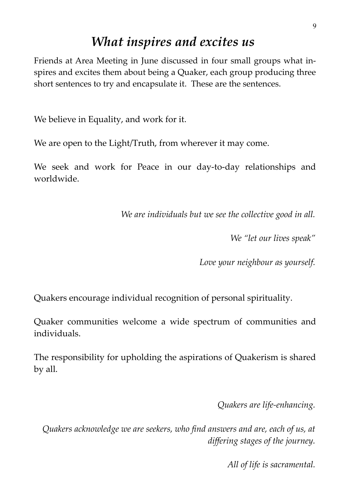# *What inspires and excites us*

Friends at Area Meeting in June discussed in four small groups what inspires and excites them about being a Quaker, each group producing three short sentences to try and encapsulate it. These are the sentences.

We believe in Equality, and work for it.

We are open to the Light/Truth, from wherever it may come.

We seek and work for Peace in our day-to-day relationships and worldwide.

*We are individuals but we see the collective good in all.*

*We "let our lives speak"*

*Love your neighbour as yourself.*

Quakers encourage individual recognition of personal spirituality.

Quaker communities welcome a wide spectrum of communities and individuals.

The responsibility for upholding the aspirations of Quakerism is shared by all.

*Quakers are life-enhancing.*

*Quakers acknowledge we are seekers, who find answers and are, each of us, at differing stages of the journey.*

*All of life is sacramental.*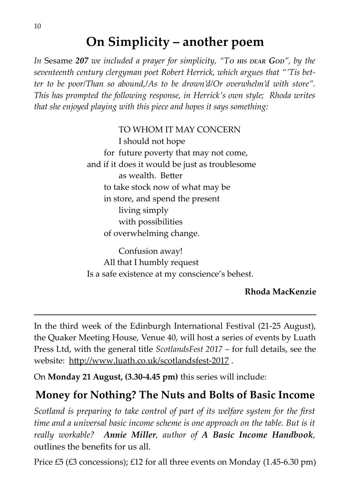# **On Simplicity – another poem**

*In* Sesame 207 *we included a prayer for simplicity, "To HIS DEAR* God", by the *seventeenth century clergyman poet Robert Herrick, which argues that "'Tis better to be poor/Than so abound,/As to be drown'd/Or overwhelm'd with store". This has prompted the following response, in Herrick's own style; Rhoda writes that she enjoyed playing with this piece and hopes it says something:*

TO WHOM IT MAY CONCERN

I should not hope for future poverty that may not come, and if it does it would be just as troublesome as wealth. Better to take stock now of what may be in store, and spend the present living simply with possibilities of overwhelming change.

Confusion away! All that I humbly request Is a safe existence at my conscience's behest.

#### **Rhoda MacKenzie**

In the third week of the Edinburgh International Festival (21-25 August), the Quaker Meeting House, Venue 40, will host a series of events by Luath Press Ltd, with the general title *ScotlandsFest 2017 –* for full details, see the website: http://www.luath.co.uk/scotlandsfest-2017 .

On **Monday 21 August, (3.30-4.45 pm)** this series will include:

## **Money for Nothing? The Nuts and Bolts of Basic Income**

*Scotland is preparing to take control of part of its welfare system for the first time and a universal basic income scheme is one approach on the table. But is it really workable? Annie Miller, author of A Basic Income Handbook,* outlines the benefits for us all.

Price £5 (£3 concessions); £12 for all three events on Monday (1.45-6.30 pm)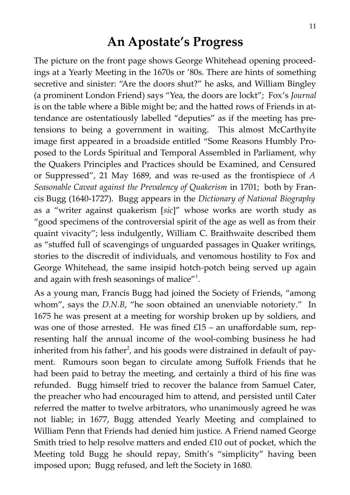# **An Apostate's Progress**

The picture on the front page shows George Whitehead opening proceedings at a Yearly Meeting in the 1670s or '80s. There are hints of something secretive and sinister: "Are the doors shut?" he asks, and William Bingley (a prominent London Friend) says "Yea, the doors are lockt"; Fox's *Journal* is on the table where a Bible might be; and the hatted rows of Friends in attendance are ostentatiously labelled "deputies" as if the meeting has pretensions to being a government in waiting. This almost McCarthyite image first appeared in a broadside entitled "Some Reasons Humbly Proposed to the Lords Spiritual and Temporal Assembled in Parliament, why the Quakers Principles and Practices should be Examined, and Censured or Suppressed", 21 May 1689, and was re-used as the frontispiece of *A Seasonable Caveat against the Prevalency of Quakerism* in 1701; both by Francis Bugg (1640-1727). Bugg appears in the *Dictionary of National Biography* as a "writer against quakerism [*sic*]" whose works are worth study as "good specimens of the controversial spirit of the age as well as from their quaint vivacity"; less indulgently, William C. Braithwaite described them as "stuffed full of scavengings of unguarded passages in Quaker writings, stories to the discredit of individuals, and venomous hostility to Fox and George Whitehead, the same insipid hotch-potch being served up again and again with fresh seasonings of malice $"$ <sup>1</sup>.

As a young man, Francis Bugg had joined the Society of Friends, "among whom", says the *D.N.B*, "he soon obtained an unenviable notoriety." In 1675 he was present at a meeting for worship broken up by soldiers, and was one of those arrested. He was fined  $£15 -$  an unaffordable sum, representing half the annual income of the wool-combing business he had inherited from his father<sup>2</sup>, and his goods were distrained in default of payment. Rumours soon began to circulate among Suffolk Friends that he had been paid to betray the meeting, and certainly a third of his fine was refunded. Bugg himself tried to recover the balance from Samuel Cater, the preacher who had encouraged him to attend, and persisted until Cater referred the matter to twelve arbitrators, who unanimously agreed he was not liable; in 1677, Bugg attended Yearly Meeting and complained to William Penn that Friends had denied him justice. A Friend named George Smith tried to help resolve matters and ended £10 out of pocket, which the Meeting told Bugg he should repay, Smith's "simplicity" having been imposed upon; Bugg refused, and left the Society in 1680.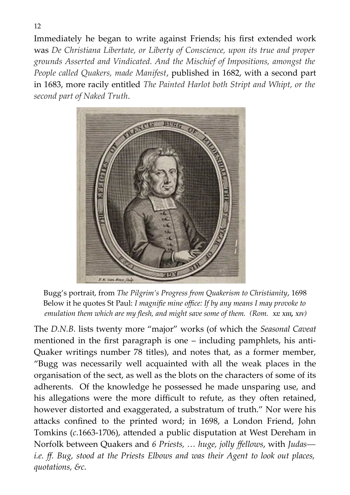Immediately he began to write against Friends; his first extended work was *De Christiana Libertate, or Liberty of Conscience, upon its true and proper grounds Asserted and Vindicated. And the Mischief of Impositions, amongst the People called Quakers, made Manifest*, published in 1682, with a second part in 1683, more racily entitled *The Painted Harlot both Stript and Whipt, or the second part of Naked Truth*.



Bugg's portrait, from *The Pilgrim's Progress from Quakerism to Christianity*, 1698 Below it he quotes St Paul: *I magnifie mine office: If by any means I may provoke to emulation them which are my flesh, and might save some of them. (Rom. XI: XIII, XIV)*

The *D.N.B.* lists twenty more "major" works (of which the *Seasonal Caveat* mentioned in the first paragraph is one – including pamphlets, his anti-Quaker writings number 78 titles), and notes that, as a former member, "Bugg was necessarily well acquainted with all the weak places in the organisation of the sect, as well as the blots on the characters of some of its adherents. Of the knowledge he possessed he made unsparing use, and his allegations were the more difficult to refute, as they often retained, however distorted and exaggerated, a substratum of truth." Nor were his attacks confined to the printed word; in 1698, a London Friend, John Tomkins (*c*.1663-1706), attended a public disputation at West Dereham in Norfolk between Quakers and *6 Priests, … huge, jolly ffellows*, with *Judas― i.e. ff. Bug, stood at the Priests Elbows and was their Agent to look out places, quotations, &c.*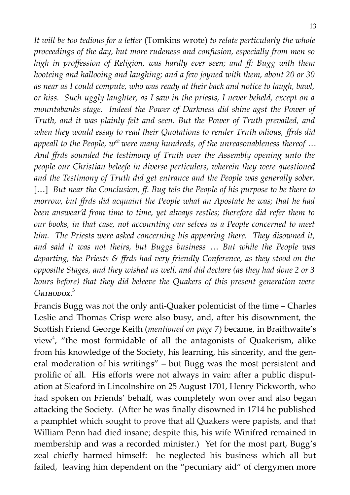*It will be too tedious for a letter* (Tomkins wrote) *to relate perticularly the whole proceedings of the day, but more rudeness and confusion, especially from men so high in proffession of Religion, was hardly ever seen; and ff: Bugg with them hooteing and hallooing and laughing; and a few joyned with them, about 20 or 30 as near as I could compute, who was ready at their back and notice to laugh, bawl, or hiss. Such uggly laughter, as I saw in the priests, I never beheld, except on a mountabanks stage. Indeed the Power of Darkness did shine agst the Power of Truth, and it was plainly felt and seen. But the Power of Truth prevailed, and when they would essay to read their Quotations to render Truth odious, ffrds did appeall to the People, wch were many hundreds, of the unreasonableness thereof* … *And ffrds sounded the testimony of Truth over the Assembly opening unto the people our Christian beleefe in diverse perticulers, wherein they were questioned and the Testimony of Truth did get entrance and the People was generally sober.* [...] *But near the Conclusion, ff. Bug tels the People of his purpose to be there to morrow, but ffrds did acquaint the People what an Apostate he was; that he had been answear'd from time to time, yet always restles; therefore did refer them to our books, in that case, not accounting our selves as a People concerned to meet him. The Priests were asked concerning his appearing there. They disowned it, and said it was not theirs, but Buggs business* … *But while the People was departing, the Priests & ffrds had very friendly Conference, as they stood on the oppositte Stages, and they wished us well, and did declare (as they had done 2 or 3 hours before) that they did beleeve the Quakers of this present generation were ORTHODOX*. 3

Francis Bugg was not the only anti-Quaker polemicist of the time – Charles Leslie and Thomas Crisp were also busy, and, after his disownment, the Scottish Friend George Keith (*mentioned on page 7*) became, in Braithwaite's view<sup>4</sup>, "the most formidable of all the antagonists of Quakerism, alike from his knowledge of the Society, his learning, his sincerity, and the general moderation of his writings" – but Bugg was the most persistent and prolific of all. His efforts were not always in vain: after a public disputation at Sleaford in Lincolnshire on 25 August 1701, Henry Pickworth, who had spoken on Friends' behalf, was completely won over and also began attacking the Society. (After he was finally disowned in 1714 he published a pamphlet which sought to prove that all Quakers were papists, and that William Penn had died insane; despite this, his wife Winifred remained in membership and was a recorded minister.) Yet for the most part, Bugg's zeal chiefly harmed himself: he neglected his business which all but failed, leaving him dependent on the "pecuniary aid" of clergymen more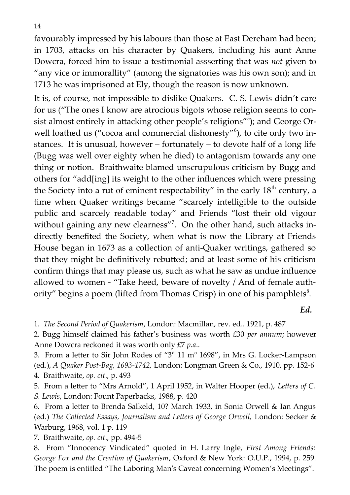favourably impressed by his labours than those at East Dereham had been; in 1703, attacks on his character by Quakers, including his aunt Anne Dowcra, forced him to issue a testimonial assserting that was *not* given to "any vice or immorallity" (among the signatories was his own son); and in 1713 he was imprisoned at Ely, though the reason is now unknown.

It is, of course, not impossible to dislike Quakers. C. S. Lewis didn't care for us ("The ones I know are atrocious bigots whose religion seems to consist almost entirely in attacking other people's religions"<sup>5</sup>); and George Orwell loathed us ("cocoa and commercial dishonesty"<sup>6</sup>), to cite only two instances. It is unusual, however – fortunately – to devote half of a long life (Bugg was well over eighty when he died) to antagonism towards any one thing or notion. Braithwaite blamed unscrupulous criticism by Bugg and others for "add[ing] its weight to the other influences which were pressing the Society into a rut of eminent respectability" in the early  $18<sup>th</sup>$  century, a time when Quaker writings became "scarcely intelligible to the outside public and scarcely readable today" and Friends "lost their old vigour without gaining any new clearness"<sup>7</sup>. On the other hand, such attacks indirectly benefited the Society, when what is now the Library at Friends House began in 1673 as a collection of anti-Quaker writings, gathered so that they might be definitively rebutted; and at least some of his criticism confirm things that may please us, such as what he saw as undue influence allowed to women - "Take heed, beware of novelty / And of female authority" begins a poem (lifted from Thomas Crisp) in one of his pamphlets $8$ .

*Ed.*

1. *The Second Period of Quakerism*, London: Macmillan, rev. ed.. 1921, p. 487

2. Bugg himself claimed his father's business was worth £30 *per annum*; however Anne Dowcra reckoned it was worth only £7 *p.a*..

3. From a letter to Sir John Rodes of " $3<sup>d</sup>$  11 m<sup>o</sup> 1698", in Mrs G. Locker-Lampson (ed.), *A Quaker Post-Bag, 1693-1742,* London: Longman Green & Co., 1910, pp. 152-6 4. Braithwaite, *op. cit*., p. 493

5. From a letter to "Mrs Arnold", 1 April 1952, in Walter Hooper (ed.), *Letters of C. S. Lewis*, London: Fount Paperbacks, 1988, p. 420

6. From a letter to Brenda Salkeld, 10? March 1933, in Sonia Orwell & Ian Angus (ed.) *The Collected Essays, Journalism and Letters of George Orwell,* London: Secker & Warburg, 1968, vol. 1 p. 119

7. Braithwaite, *op. cit*., pp. 494-5

8. From "Innocency Vindicated" quoted in H. Larry Ingle, *First Among Friends: George Fox and the Creation of Quakerism*, Oxford & New York: O.U.P., 1994, p. 259. The poem is entitled "The Laboring Man's Caveat concerning Women's Meetings".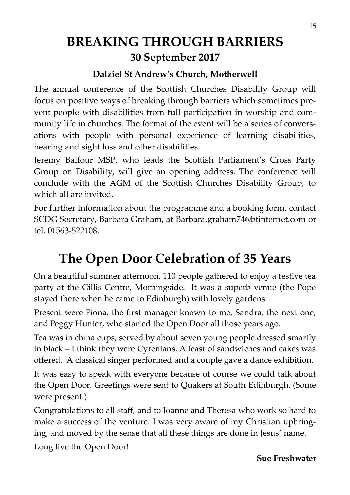# **BREAKING THROUGH BARRIERS 30 September 2017**

## **Dalziel St Andrew's Church, Motherwell**

The annual conference of the Scottish Churches Disability Group will focus on positive ways of breaking through barriers which sometimes prevent people with disabilities from full participation in worship and community life in churches. The format of the event will be a series of conversations with people with personal experience of learning disabilities, hearing and sight loss and other disabilities.

Jeremy Balfour MSP, who leads the Scottish Parliament's Cross Party Group on Disability, will give an opening address. The conference will conclude with the AGM of the Scottish Churches Disability Group, to which all are invited.

For further information about the programme and a booking form, contact SCDG Secretary, Barbara Graham, at [Barbara.graham74@btinternet.com](mailto:Barbara.graham74@btinternet.com) or tel. 01563-522108.

# **The Open Door Celebration of 35 Years**

On a beautiful summer afternoon, 110 people gathered to enjoy a festive tea party at the Gillis Centre, Morningside. It was a superb venue (the Pope stayed there when he came to Edinburgh) with lovely gardens.

Present were Fiona, the first manager known to me, Sandra, the next one, and Peggy Hunter, who started the Open Door all those years ago.

Tea was in china cups, served by about seven young people dressed smartly in black – I think they were Cyrenians. A feast of sandwiches and cakes was offered. A classical singer performed and a couple gave a dance exhibition.

It was easy to speak with everyone because of course we could talk about the Open Door. Greetings were sent to Quakers at South Edinburgh. (Some were present.)

Congratulations to all staff, and to Joanne and Theresa who work so hard to make a success of the venture. I was very aware of my Christian upbringing, and moved by the sense that all these things are done in Jesus' name.

Long live the Open Door!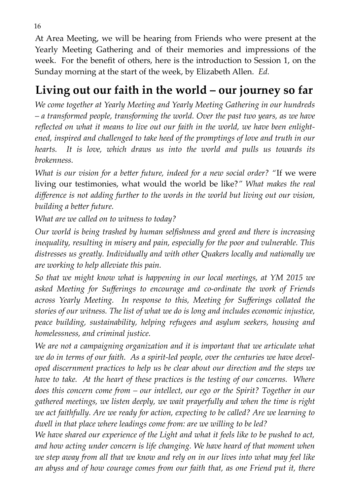At Area Meeting, we will be hearing from Friends who were present at the Yearly Meeting Gathering and of their memories and impressions of the week. For the benefit of others, here is the introduction to Session 1, on the Sunday morning at the start of the week, by Elizabeth Allen. *Ed.*

# **Living out our faith in the world – our journey so far**

*We come together at Yearly Meeting and Yearly Meeting Gathering in our hundreds – a transformed people, transforming the world. Over the past two years, as we have reflected on what it means to live out our faith in the world, we have been enlightened, inspired and challenged to take heed of the promptings of love and truth in our hearts. It is love, which draws us into the world and pulls us towards its brokenness.* 

*What is our vision for a better future, indeed for a new social order? "*If we were living our testimonies, what would the world be like?*" What makes the real difference is not adding further to the words in the world but living out our vision, building a better future.* 

*What are we called on to witness to today?* 

*Our world is being trashed by human selfishness and greed and there is increasing inequality, resulting in misery and pain, especially for the poor and vulnerable. This distresses us greatly. Individually and with other Quakers locally and nationally we are working to help alleviate this pain.* 

*So that we might know what is happening in our local meetings, at YM 2015 we asked Meeting for Sufferings to encourage and co-ordinate the work of Friends across Yearly Meeting. In response to this, Meeting for Sufferings collated the stories of our witness. The list of what we do is long and includes economic injustice, peace building, sustainability, helping refugees and asylum seekers, housing and homelessness, and criminal justice.*

*We are not a campaigning organization and it is important that we articulate what we do in terms of our faith. As a spirit-led people, over the centuries we have developed discernment practices to help us be clear about our direction and the steps we have to take. At the heart of these practices is the testing of our concerns. Where does this concern come from – our intellect, our ego or the Spirit? Together in our gathered meetings, we listen deeply, we wait prayerfully and when the time is right we act faithfully. Are we ready for action, expecting to be called? Are we learning to dwell in that place where leadings come from: are we willing to be led?* 

*We have shared our experience of the Light and what it feels like to be pushed to act, and how acting under concern is life changing. We have heard of that moment when we step away from all that we know and rely on in our lives into what may feel like an abyss and of how courage comes from our faith that, as one Friend put it, there*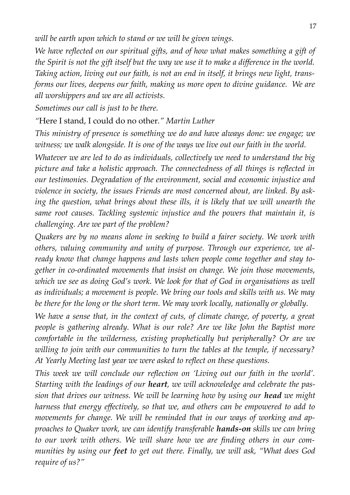*will be earth upon which to stand or we will be given wings.* 

*We have reflected on our spiritual gifts, and of how what makes something a gift of the Spirit is not the gift itself but the way we use it to make a difference in the world. Taking action, living out our faith, is not an end in itself, it brings new light, transforms our lives, deepens our faith, making us more open to divine guidance. We are all worshippers and we are all activists.*

*Sometimes our call is just to be there.* 

*"*Here I stand, I could do no other*." Martin Luther* 

*This ministry of presence is something we do and have always done: we engage; we witness; we walk alongside. It is one of the ways we live out our faith in the world.* 

*Whatever we are led to do as individuals, collectively we need to understand the big picture and take a holistic approach. The connectedness of all things is reflected in our testimonies. Degradation of the environment, social and economic injustice and violence in society, the issues Friends are most concerned about, are linked. By asking the question, what brings about these ills, it is likely that we will unearth the same root causes. Tackling systemic injustice and the powers that maintain it, is challenging. Are we part of the problem?* 

*Quakers are by no means alone in seeking to build a fairer society. We work with others, valuing community and unity of purpose. Through our experience, we already know that change happens and lasts when people come together and stay together in co-ordinated movements that insist on change. We join those movements, which we see as doing God's work. We look for that of God in organisations as well as individuals; a movement is people. We bring our tools and skills with us. We may be there for the long or the short term. We may work locally, nationally or globally.* 

*We have a sense that, in the context of cuts, of climate change, of poverty, a great people is gathering already. What is our role? Are we like John the Baptist more comfortable in the wilderness, existing prophetically but peripherally? Or are we willing to join with our communities to turn the tables at the temple, if necessary? At Yearly Meeting last year we were asked to reflect on these questions.* 

*This week we will conclude our reflection on 'Living out our faith in the world'. Starting with the leadings of our heart, we will acknowledge and celebrate the passion that drives our witness. We will be learning how by using our head we might harness that energy effectively, so that we, and others can be empowered to add to movements for change. We will be reminded that in our ways of working and approaches to Quaker work, we can identify transferable hands-on skills we can bring to our work with others. We will share how we are finding others in our communities by using our feet to get out there. Finally, we will ask, "What does God require of us?"*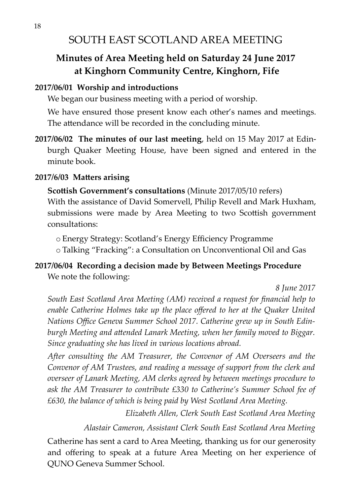## SOUTH EAST SCOTLAND AREA MEETING

## **Minutes of Area Meeting held on Saturday 24 June 2017 at Kinghorn Community Centre, Kinghorn, Fife**

#### **2017/06/01 Worship and introductions**

We began our business meeting with a period of worship.

We have ensured those present know each other's names and meetings. The attendance will be recorded in the concluding minute.

**2017/06/02 The minutes of our last meeting**, held on 15 May 2017 at Edinburgh Quaker Meeting House, have been signed and entered in the minute book.

#### **2017/6/03 Matters arising**

**Scottish Government's consultations** (Minute 2017/05/10 refers) With the assistance of David Somervell, Philip Revell and Mark Huxham, submissions were made by Area Meeting to two Scottish government consultations:

o Energy Strategy: Scotland's Energy Efficiency Programme

o Talking "Fracking": a Consultation on Unconventional Oil and Gas

#### **2017/06/04 Recording a decision made by Between Meetings Procedure** We note the following:

*8 June 2017*

*South East Scotland Area Meeting (AM) received a request for financial help to enable Catherine Holmes take up the place offered to her at the Quaker United Nations Office Geneva Summer School 2017. Catherine grew up in South Edinburgh Meeting and attended Lanark Meeting, when her family moved to Biggar. Since graduating she has lived in various locations abroad.* 

*After consulting the AM Treasurer, the Convenor of AM Overseers and the Convenor of AM Trustees, and reading a message of support from the clerk and overseer of Lanark Meeting, AM clerks agreed by between meetings procedure to ask the AM Treasurer to contribute £330 to Catherine's Summer School fee of £630, the balance of which is being paid by West Scotland Area Meeting.*

*Elizabeth Allen, Clerk South East Scotland Area Meeting*

*Alastair Cameron, Assistant Clerk South East Scotland Area Meeting*

Catherine has sent a card to Area Meeting, thanking us for our generosity and offering to speak at a future Area Meeting on her experience of QUNO Geneva Summer School.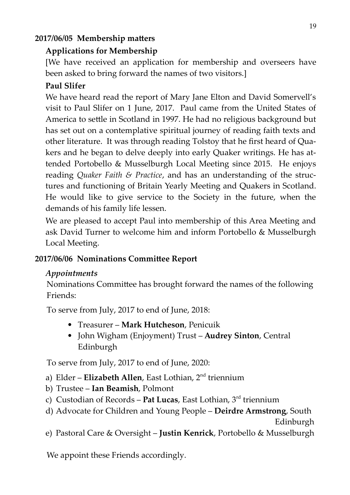#### **2017/06/05 Membership matters**

## **Applications for Membership**

[We have received an application for membership and overseers have been asked to bring forward the names of two visitors.]

## **Paul Slifer**

We have heard read the report of Mary Jane Elton and David Somervell's visit to Paul Slifer on 1 June, 2017. Paul came from the United States of America to settle in Scotland in 1997. He had no religious background but has set out on a contemplative spiritual journey of reading faith texts and other literature. It was through reading Tolstoy that he first heard of Quakers and he began to delve deeply into early Quaker writings. He has attended Portobello & Musselburgh Local Meeting since 2015. He enjoys reading *Quaker Faith & Practice*, and has an understanding of the structures and functioning of Britain Yearly Meeting and Quakers in Scotland. He would like to give service to the Society in the future, when the demands of his family life lessen.

We are pleased to accept Paul into membership of this Area Meeting and ask David Turner to welcome him and inform Portobello & Musselburgh Local Meeting.

## **2017/06/06 Nominations Committee Report**

#### *Appointments*

Nominations Committee has brought forward the names of the following Friends:

To serve from July, 2017 to end of June, 2018:

- Treasurer **Mark Hutcheson**, Penicuik
- John Wigham (Enjoyment) Trust **Audrey Sinton**, Central Edinburgh

To serve from July, 2017 to end of June, 2020:

- a) Elder **Elizabeth Allen**, East Lothian, 2nd triennium
- b) Trustee **Ian Beamish**, Polmont
- c) Custodian of Records **Pat Lucas**, East Lothian, 3rd triennium
- d) Advocate for Children and Young People **Deirdre Armstrong**, South

Edinburgh

e) Pastoral Care & Oversight – **Justin Kenrick**, Portobello & Musselburgh

We appoint these Friends accordingly.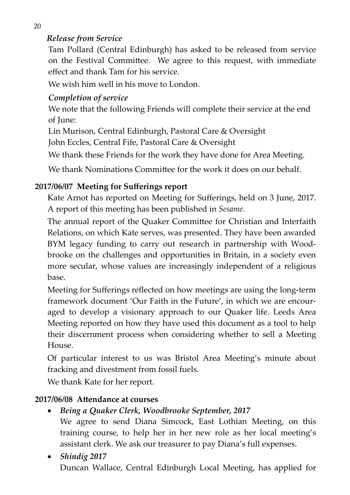## *Release from Service*

Tam Pollard (Central Edinburgh) has asked to be released from service on the Festival Committee. We agree to this request, with immediate effect and thank Tam for his service.

We wish him well in his move to London.

## *Completion of service*

We note that the following Friends will complete their service at the end of June:

Lin Murison, Central Edinburgh, Pastoral Care & Oversight

John Eccles, Central Fife, Pastoral Care & Oversight

We thank these Friends for the work they have done for Area Meeting.

We thank Nominations Committee for the work it does on our behalf.

#### **2017/06/07 Meeting for Sufferings report**

Kate Arnot has reported on Meeting for Sufferings, held on 3 June, 2017. A report of this meeting has been published in *Sesame*.

The annual report of the Quaker Committee for Christian and Interfaith Relations, on which Kate serves, was presented. They have been awarded BYM legacy funding to carry out research in partnership with Woodbrooke on the challenges and opportunities in Britain, in a society even more secular, whose values are increasingly independent of a religious base.

Meeting for Sufferings reflected on how meetings are using the long-term framework document 'Our Faith in the Future', in which we are encouraged to develop a visionary approach to our Quaker life. Leeds Area Meeting reported on how they have used this document as a tool to help their discernment process when considering whether to sell a Meeting House.

Of particular interest to us was Bristol Area Meeting's minute about fracking and divestment from fossil fuels.

We thank Kate for her report.

#### **2017/06/08 Attendance at courses**

#### *Being a Quaker Clerk, Woodbrooke September, 2017*

We agree to send Diana Simcock, East Lothian Meeting, on this training course, to help her in her new role as her local meeting's assistant clerk. We ask our treasurer to pay Diana's full expenses.

#### *Shindig 2017* Duncan Wallace, Central Edinburgh Local Meeting, has applied for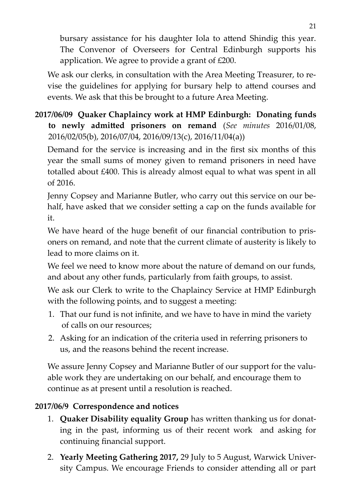bursary assistance for his daughter Iola to attend Shindig this year. The Convenor of Overseers for Central Edinburgh supports his application. We agree to provide a grant of £200.

We ask our clerks, in consultation with the Area Meeting Treasurer, to revise the guidelines for applying for bursary help to attend courses and events. We ask that this be brought to a future Area Meeting.

## **2017/06/09 Quaker Chaplaincy work at HMP Edinburgh: Donating funds to newly admitted prisoners on remand** (*See minutes* 2016/01/08, 2016/02/05(b), 2016/07/04, 2016/09/13(c), 2016/11/04(a))

Demand for the service is increasing and in the first six months of this year the small sums of money given to remand prisoners in need have totalled about £400. This is already almost equal to what was spent in all of 2016.

Jenny Copsey and Marianne Butler, who carry out this service on our behalf, have asked that we consider setting a cap on the funds available for it.

We have heard of the huge benefit of our financial contribution to prisoners on remand, and note that the current climate of austerity is likely to lead to more claims on it.

We feel we need to know more about the nature of demand on our funds, and about any other funds, particularly from faith groups, to assist.

We ask our Clerk to write to the Chaplaincy Service at HMP Edinburgh with the following points, and to suggest a meeting:

- 1. That our fund is not infinite, and we have to have in mind the variety of calls on our resources;
- 2. Asking for an indication of the criteria used in referring prisoners to us, and the reasons behind the recent increase.

We assure Jenny Copsey and Marianne Butler of our support for the valuable work they are undertaking on our behalf, and encourage them to continue as at present until a resolution is reached.

#### **2017/06/9 Correspondence and notices**

- 1. **Quaker Disability equality Group** has written thanking us for donating in the past, informing us of their recent work and asking for continuing financial support.
- 2. **Yearly Meeting Gathering 2017,** 29 July to 5 August, Warwick University Campus. We encourage Friends to consider attending all or part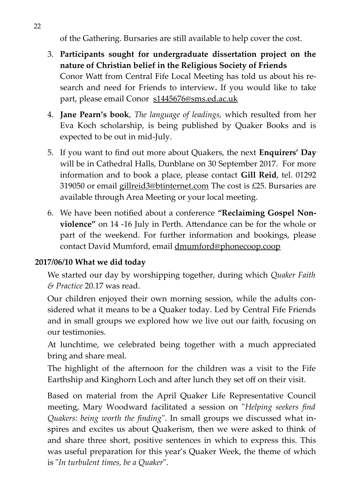of the Gathering. Bursaries are still available to help cover the cost.

- 3. **Participants sought for undergraduate dissertation project on the nature of Christian belief in the Religious Society of Friends** Conor Watt from Central Fife Local Meeting has told us about his research and need for Friends to interview**.** If you would like to take part, please email Conor [s1445676@sms.ed.ac.uk](mailto:s1445676@sms.ed.ac.uk)
- 4. **Jane Pearn's book**, *The language of leadings,* which resulted from her Eva Koch scholarship, is being published by Quaker Books and is expected to be out in mid-July.
- 5. If you want to find out more about Quakers, the next **Enquirers' Day** will be in Cathedral Halls, Dunblane on 30 September 2017. For more information and to book a place, please contact **Gill Reid**, tel. 01292 319050 or email gillreid3@btinternet.com The cost is £25. Bursaries are available through Area Meeting or your local meeting.
- 6. We have been notified about a conference **"Reclaiming Gospel Nonviolence"** on 14 -16 July in Perth. Attendance can be for the whole or part of the weekend. For further information and bookings, please contact David Mumford, email dmumford@phonecoop.coop

#### **2017/06/10 What we did today**

We started our day by worshipping together, during which *Quaker Faith & Practice* 20.17 was read.

Our children enjoyed their own morning session, while the adults considered what it means to be a Quaker today. Led by Central Fife Friends and in small groups we explored how we live out our faith, focusing on our testimonies.

At lunchtime, we celebrated being together with a much appreciated bring and share meal.

The highlight of the afternoon for the children was a visit to the Fife Earthship and Kinghorn Loch and after lunch they set off on their visit.

Based on material from the April Quaker Life Representative Council meeting, Mary Woodward facilitated a session on "*Helping seekers find Quakers: being worth the finding*". In small groups we discussed what inspires and excites us about Quakerism, then we were asked to think of and share three short, positive sentences in which to express this. This was useful preparation for this year's Quaker Week, the theme of which is "*In turbulent times, be a Quaker*".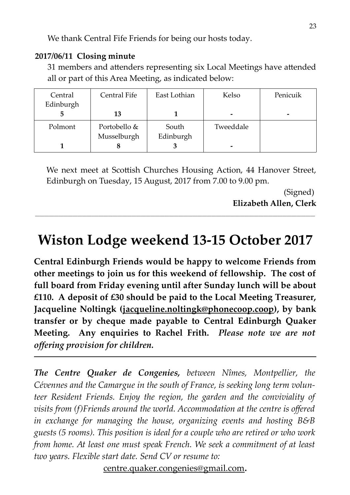We thank Central Fife Friends for being our hosts today.

#### **2017/06/11 Closing minute**

31 members and attenders representing six Local Meetings have attended all or part of this Area Meeting, as indicated below:

| Central<br>Edinburgh | Central Fife | East Lothian | Kelso     | Penicuik |
|----------------------|--------------|--------------|-----------|----------|
| 5                    | 13           |              |           |          |
|                      |              |              | -         |          |
| Polmont              | Portobello & | South        | Tweeddale |          |
|                      | Musselburgh  | Edinburgh    |           |          |
|                      | O            |              | -         |          |

We next meet at Scottish Churches Housing Action, 44 Hanover Street, Edinburgh on Tuesday, 15 August, 2017 from 7.00 to 9.00 pm.

> (Signed) **Elizabeth Allen, Clerk**

# **Wiston Lodge weekend 13-15 October 2017**

 **\_\_\_\_\_\_\_\_\_\_\_\_\_\_\_\_\_\_\_\_\_\_\_\_\_\_\_\_\_\_\_\_\_\_\_\_\_\_\_\_\_\_\_\_\_\_\_\_\_\_\_\_\_\_\_\_\_\_\_\_\_\_\_\_\_\_\_\_\_\_\_\_\_\_\_\_\_\_\_\_\_\_\_\_\_\_\_\_\_\_\_\_\_\_\_\_\_\_\_\_\_\_\_\_\_\_\_\_\_\_\_\_\_\_\_\_\_\_\_**

**Central Edinburgh Friends would be happy to welcome Friends from other meetings to join us for this weekend of fellowship. The cost of full board from Friday evening until after Sunday lunch will be about £110. A deposit of £30 should be paid to the Local Meeting Treasurer, Jacqueline Noltingk ( jacqueline[.noltingk@phonecoop.coop\)](mailto:noltingk@phonecoop.coop), by bank transfer or by cheque made payable to Central Edinburgh Quaker Meeting. Any enquiries to Rachel Frith.** *Please note we are not offering provision for children.* 

*The Centre Quaker de Congenies, between Nîmes, Montpellier, the Cévennes and the Camargue in the south of France, is seeking long term volunteer Resident Friends. Enjoy the region, the garden and the conviviality of visits from (f)Friends around the world. Accommodation at the centre is offered in exchange for managing the house, organizing events and hosting B&B guests (5 rooms). This position is ideal for a couple who are retired or who work from home. At least one must speak French. We seek a commitment of at least two years. Flexible start date. Send CV or resume to:* 

[centre.quaker.congenies@gmail.com](file:///neo/b/compose%3Fto=centre.quaker.congenies@gmail.com)**.**